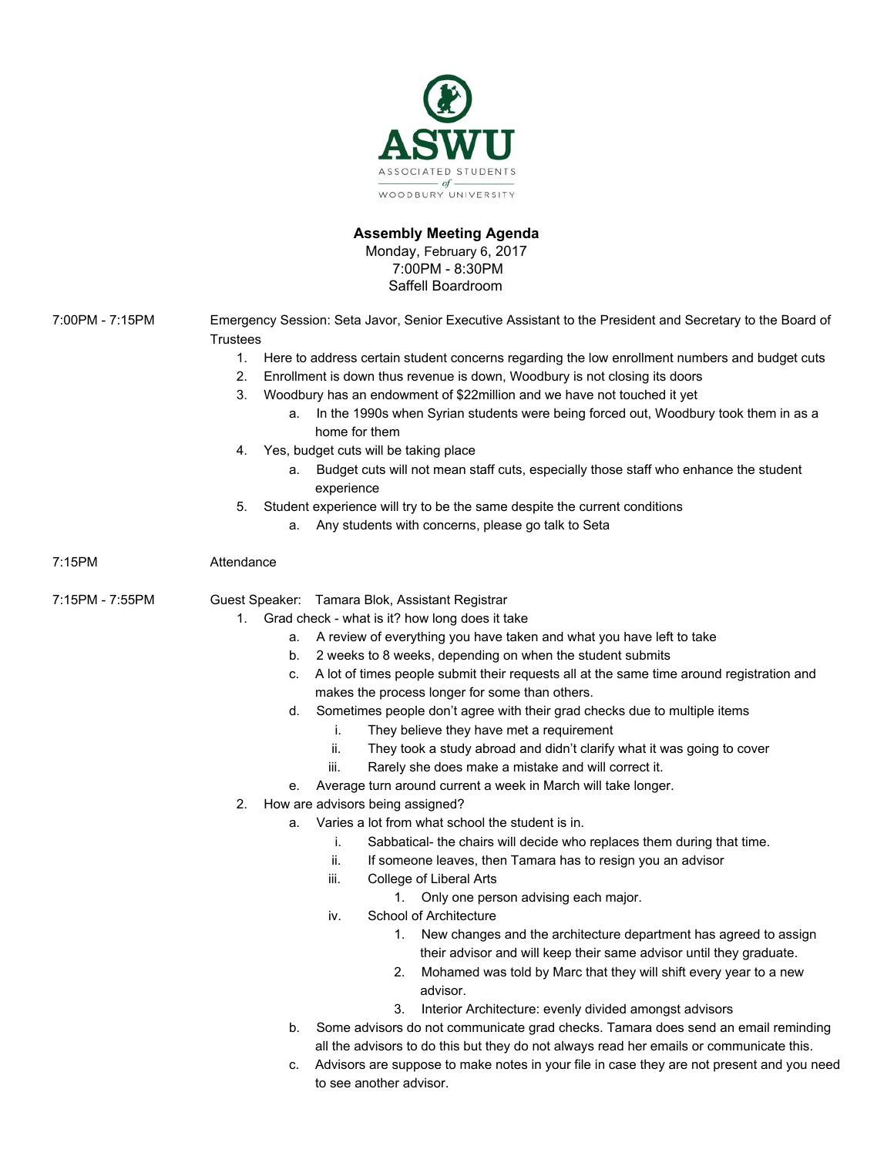

# **Assembly Meeting Agenda**

Monday, February 6, 2017 7:00PM - 8:30PM Saffell Boardroom

| Emergency Session: Seta Javor, Senior Executive Assistant to the President and Secretary to the Board of<br><b>Trustees</b> |
|-----------------------------------------------------------------------------------------------------------------------------|
| 1.<br>Here to address certain student concerns regarding the low enrollment numbers and budget cuts                         |
| Enrollment is down thus revenue is down, Woodbury is not closing its doors<br>2.                                            |
| 3.<br>Woodbury has an endowment of \$22 million and we have not touched it yet                                              |
| In the 1990s when Syrian students were being forced out, Woodbury took them in as a<br>а.                                   |
| home for them                                                                                                               |
| Yes, budget cuts will be taking place<br>4.                                                                                 |
| Budget cuts will not mean staff cuts, especially those staff who enhance the student<br>a.<br>experience                    |
| Student experience will try to be the same despite the current conditions<br>5.                                             |
| Any students with concerns, please go talk to Seta<br>а.                                                                    |
| Attendance                                                                                                                  |
| Guest Speaker: Tamara Blok, Assistant Registrar                                                                             |
| Grad check - what is it? how long does it take<br>1.                                                                        |
| A review of everything you have taken and what you have left to take<br>a.                                                  |
| 2 weeks to 8 weeks, depending on when the student submits<br>b.                                                             |
| A lot of times people submit their requests all at the same time around registration and<br>c.                              |
| makes the process longer for some than others.                                                                              |
| Sometimes people don't agree with their grad checks due to multiple items<br>d.                                             |
| They believe they have met a requirement<br>i.                                                                              |
| They took a study abroad and didn't clarify what it was going to cover<br>ii.                                               |
| Rarely she does make a mistake and will correct it.<br>iii.                                                                 |
| Average turn around current a week in March will take longer.<br>е.                                                         |
| How are advisors being assigned?<br>2.                                                                                      |
| Varies a lot from what school the student is in.<br>а.                                                                      |
| Sabbatical- the chairs will decide who replaces them during that time.<br>İ.                                                |
| ii.<br>If someone leaves, then Tamara has to resign you an advisor                                                          |
| iii.<br>College of Liberal Arts                                                                                             |
| Only one person advising each major.<br>1.<br>School of Architecture                                                        |
| iv.<br>New changes and the architecture department has agreed to assign                                                     |
| 1.<br>their advisor and will keep their same advisor until they graduate.                                                   |
| Mohamed was told by Marc that they will shift every year to a new<br>2.                                                     |
| advisor.                                                                                                                    |
| 3.<br>Interior Architecture: evenly divided amongst advisors                                                                |
| Some advisors do not communicate grad checks. Tamara does send an email reminding<br>b.                                     |
| all the advisors to do this but they do not always read her emails or communicate this.                                     |
| Advisors are suppose to make notes in your file in case they are not present and you need<br>c.<br>to see another advisor.  |
|                                                                                                                             |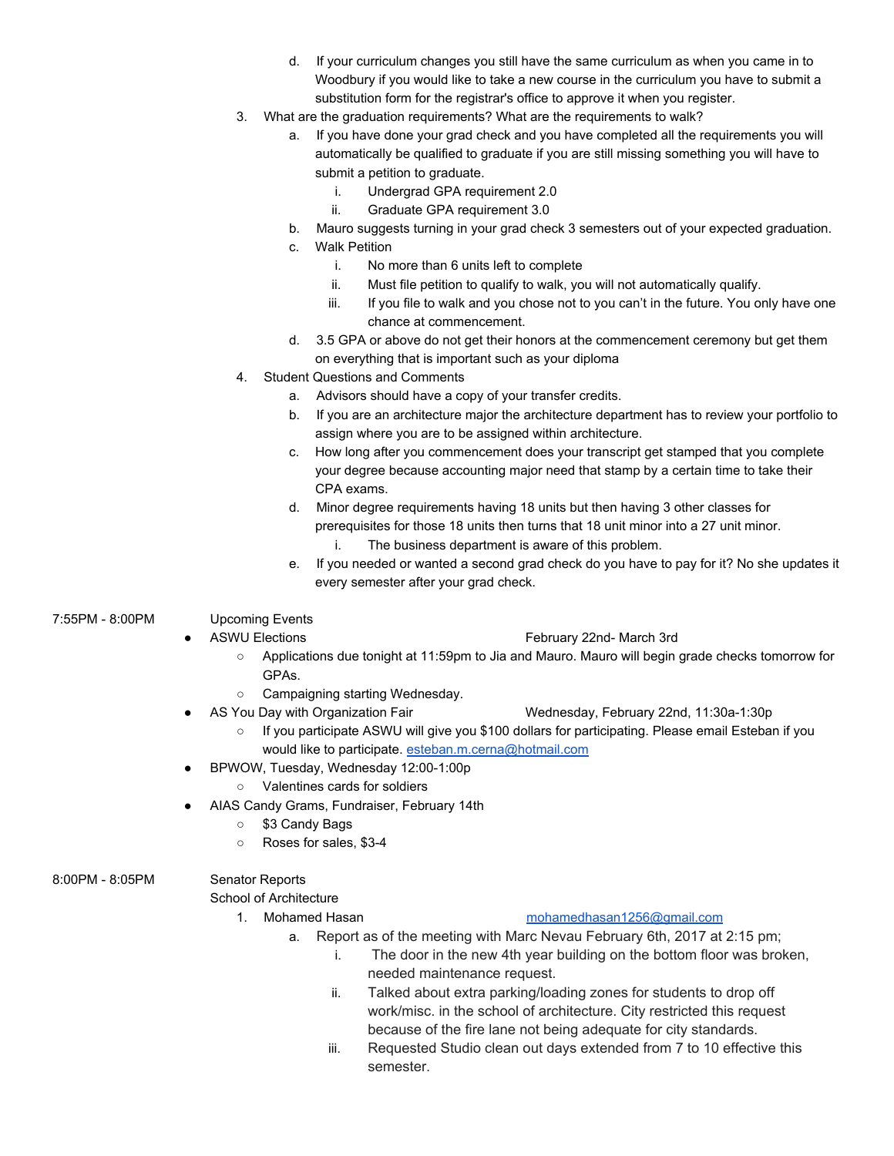- d. If your curriculum changes you still have the same curriculum as when you came in to Woodbury if you would like to take a new course in the curriculum you have to submit a substitution form for the registrar's office to approve it when you register.
- 3. What are the graduation requirements? What are the requirements to walk?
	- a. If you have done your grad check and you have completed all the requirements you will automatically be qualified to graduate if you are still missing something you will have to submit a petition to graduate.
		- i. Undergrad GPA requirement 2.0
		- ii. Graduate GPA requirement 3.0
	- b. Mauro suggests turning in your grad check 3 semesters out of your expected graduation.
	- c. Walk Petition
		- i. No more than 6 units left to complete
		- ii. Must file petition to qualify to walk, you will not automatically qualify.
		- iii. If you file to walk and you chose not to you can't in the future. You only have one chance at commencement.
	- d. 3.5 GPA or above do not get their honors at the commencement ceremony but get them on everything that is important such as your diploma
- 4. Student Questions and Comments
	- a. Advisors should have a copy of your transfer credits.
	- b. If you are an architecture major the architecture department has to review your portfolio to assign where you are to be assigned within architecture.
	- c. How long after you commencement does your transcript get stamped that you complete your degree because accounting major need that stamp by a certain time to take their CPA exams.
	- d. Minor degree requirements having 18 units but then having 3 other classes for prerequisites for those 18 units then turns that 18 unit minor into a 27 unit minor.
		- i. The business department is aware of this problem.
	- e. If you needed or wanted a second grad check do you have to pay for it? No she updates it every semester after your grad check.

## 7:55PM - 8:00PM Upcoming Events

- ASWU Elections The Contract of Tebruary 22nd- March 3rd
	- Applications due tonight at 11:59pm to Jia and Mauro. Mauro will begin grade checks tomorrow for GPAs.
	- Campaigning starting Wednesday.
- AS You Day with Organization Fair Wednesday, February 22nd, 11:30a-1:30p
	- If you participate ASWU will give you \$100 dollars for participating. Please email Esteban if you would like to participate. [esteban.m.cerna@hotmail.com](mailto:esteban.m.cerna@hotmail.com)
	- BPWOW, Tuesday, Wednesday 12:00-1:00p
		- Valentines cards for soldiers
- AIAS Candy Grams, Fundraiser, February 14th
	- \$3 Candy Bags
	- Roses for sales, \$3-4

### 8:00PM - 8:05PM Senator Reports

School of Architecture

## 1. Mohamed Hasan [mohamedhasan1256@gmail.com](mailto:mohamedhasan1256@gmail.com)

- a. Report as of the meeting with Marc Nevau February 6th, 2017 at 2:15 pm;
	- i. The door in the new 4th year building on the bottom floor was broken, needed maintenance request.
	- ii. Talked about extra parking/loading zones for students to drop off work/misc. in the school of architecture. City restricted this request because of the fire lane not being adequate for city standards.
	- iii. Requested Studio clean out days extended from 7 to 10 effective this semester.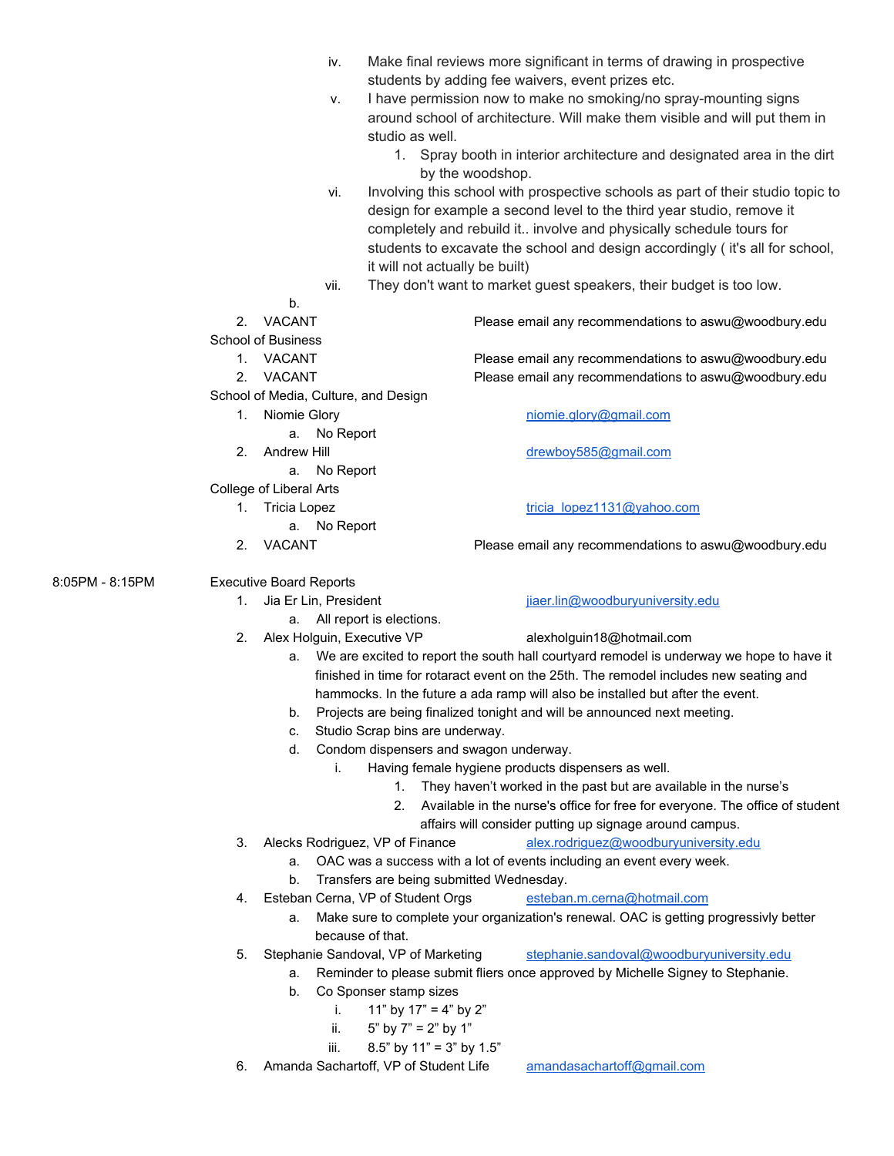|                 |    | iv.                                  |                                          | Make final reviews more significant in terms of drawing in prospective                      |  |
|-----------------|----|--------------------------------------|------------------------------------------|---------------------------------------------------------------------------------------------|--|
|                 |    |                                      |                                          | students by adding fee waivers, event prizes etc.                                           |  |
|                 |    | ν.                                   |                                          | I have permission now to make no smoking/no spray-mounting signs                            |  |
|                 |    |                                      |                                          | around school of architecture. Will make them visible and will put them in                  |  |
|                 |    |                                      | studio as well.                          |                                                                                             |  |
|                 |    |                                      |                                          | 1. Spray booth in interior architecture and designated area in the dirt                     |  |
|                 |    |                                      | by the woodshop.                         |                                                                                             |  |
|                 |    | vi.                                  |                                          | Involving this school with prospective schools as part of their studio topic to             |  |
|                 |    |                                      |                                          | design for example a second level to the third year studio, remove it                       |  |
|                 |    |                                      |                                          | completely and rebuild it involve and physically schedule tours for                         |  |
|                 |    |                                      |                                          | students to excavate the school and design accordingly (it's all for school,                |  |
|                 |    |                                      | it will not actually be built)           |                                                                                             |  |
|                 |    | vii.                                 |                                          | They don't want to market guest speakers, their budget is too low.                          |  |
|                 |    | b.                                   |                                          |                                                                                             |  |
|                 | 2. | <b>VACANT</b>                        |                                          | Please email any recommendations to aswu@woodbury.edu                                       |  |
|                 |    | <b>School of Business</b>            |                                          |                                                                                             |  |
|                 |    | 1. VACANT                            |                                          | Please email any recommendations to aswu@woodbury.edu                                       |  |
|                 | 2. | VACANT                               |                                          | Please email any recommendations to aswu@woodbury.edu                                       |  |
|                 |    | School of Media, Culture, and Design |                                          |                                                                                             |  |
|                 | 1. | Niomie Glory                         |                                          | niomie.glory@gmail.com                                                                      |  |
|                 |    | No Report<br>а.                      |                                          |                                                                                             |  |
|                 |    | 2. Andrew Hill                       |                                          | drewboy585@gmail.com                                                                        |  |
|                 |    | No Report<br>а.                      |                                          |                                                                                             |  |
|                 |    | College of Liberal Arts              |                                          |                                                                                             |  |
|                 |    | 1. Tricia Lopez                      |                                          | tricia_lopez1131@yahoo.com                                                                  |  |
|                 |    | a. No Report                         |                                          |                                                                                             |  |
|                 | 2. | VACANT                               |                                          | Please email any recommendations to aswu@woodbury.edu                                       |  |
| 8:05PM - 8:15PM |    | <b>Executive Board Reports</b>       |                                          |                                                                                             |  |
|                 |    | 1. Jia Er Lin, President             |                                          | jiaer.lin@woodburyuniversity.edu                                                            |  |
|                 |    |                                      | a. All report is elections.              |                                                                                             |  |
|                 | 2. | Alex Holguin, Executive VP           |                                          | alexholguin18@hotmail.com                                                                   |  |
|                 |    |                                      |                                          | a. We are excited to report the south hall courtyard remodel is underway we hope to have it |  |
|                 |    |                                      |                                          | finished in time for rotaract event on the 25th. The remodel includes new seating and       |  |
|                 |    |                                      |                                          | hammocks. In the future a ada ramp will also be installed but after the event.              |  |
|                 |    | b.                                   |                                          | Projects are being finalized tonight and will be announced next meeting.                    |  |
|                 |    | C.                                   | Studio Scrap bins are underway.          |                                                                                             |  |
|                 |    | d.                                   | Condom dispensers and swagon underway.   |                                                                                             |  |
|                 |    | i.                                   |                                          | Having female hygiene products dispensers as well.                                          |  |
|                 |    |                                      | 1.                                       | They haven't worked in the past but are available in the nurse's                            |  |
|                 |    |                                      |                                          | 2. Available in the nurse's office for free for everyone. The office of student             |  |
|                 |    |                                      |                                          | affairs will consider putting up signage around campus.                                     |  |
|                 | 3. |                                      | Alecks Rodriguez, VP of Finance          | alex.rodriguez@woodburyuniversity.edu                                                       |  |
|                 |    | a.                                   |                                          | OAC was a success with a lot of events including an event every week.                       |  |
|                 |    | b.                                   | Transfers are being submitted Wednesday. |                                                                                             |  |
|                 | 4. |                                      | Esteban Cerna, VP of Student Orgs        | esteban.m.cerna@hotmail.com                                                                 |  |
|                 |    | а.                                   | because of that.                         | Make sure to complete your organization's renewal. OAC is getting progressivly better       |  |
|                 | 5. |                                      | Stephanie Sandoval, VP of Marketing      | stephanie.sandoval@woodburyuniversity.edu                                                   |  |

- a. Reminder to please submit fliers once approved by Michelle Signey to Stephanie.
- b. Co Sponser stamp sizes
	- i.  $11"$  by  $17" = 4"$  by  $2"$
	- ii.  $5"$  by  $7" = 2"$  by  $1"$
	- iii.  $8.5"$  by  $11" = 3"$  by  $1.5"$
- 6. Amanda Sachartoff, VP of Student Life [amandasachartoff@gmail.com](mailto:amandasachartoff@gmail.com)